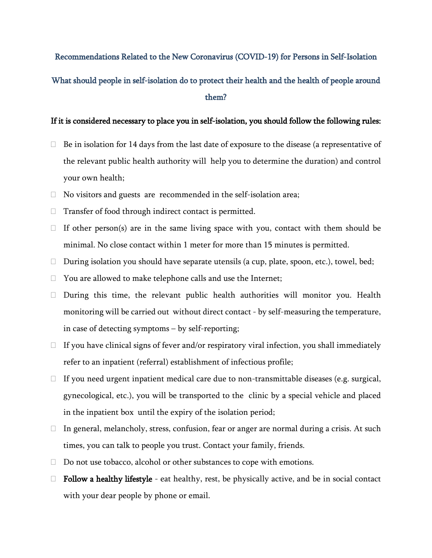## Recommendations Related to the New Coronavirus (COVID-19) for Persons in Self-Isolation What should people in self-isolation do to protect their health and the health of people around them?

## If it is considered necessary to place you in self-isolation, you should follow the following rules:

- $\Box$  Be in isolation for 14 days from the last date of exposure to the disease (a representative of the relevant public health authority will help you to determine the duration) and control your own health;
- $\Box$  No visitors and guests are recommended in the self-isolation area;
- $\Box$  Transfer of food through indirect contact is permitted.
- $\Box$  If other person(s) are in the same living space with you, contact with them should be minimal. No close contact within 1 meter for more than 15 minutes is permitted.
- During isolation you should have separate utensils (a cup, plate, spoon, etc.), towel, bed;
- □ You are allowed to make telephone calls and use the Internet;
- $\Box$  During this time, the relevant public health authorities will monitor you. Health monitoring will be carried out without direct contact - by self-measuring the temperature, in case of detecting symptoms – by self-reporting;
- $\Box$  If you have clinical signs of fever and/or respiratory viral infection, you shall immediately refer to an inpatient (referral) establishment of infectious profile;
- $\Box$  If you need urgent inpatient medical care due to non-transmittable diseases (e.g. surgical, gynecological, etc.), you will be transported to the clinic by a special vehicle and placed in the inpatient box until the expiry of the isolation period;
- $\Box$  In general, melancholy, stress, confusion, fear or anger are normal during a crisis. At such times, you can talk to people you trust. Contact your family, friends.
- $\Box$  Do not use tobacco, alcohol or other substances to cope with emotions.
- $\Box$  Follow a healthy lifestyle eat healthy, rest, be physically active, and be in social contact with your dear people by phone or email.